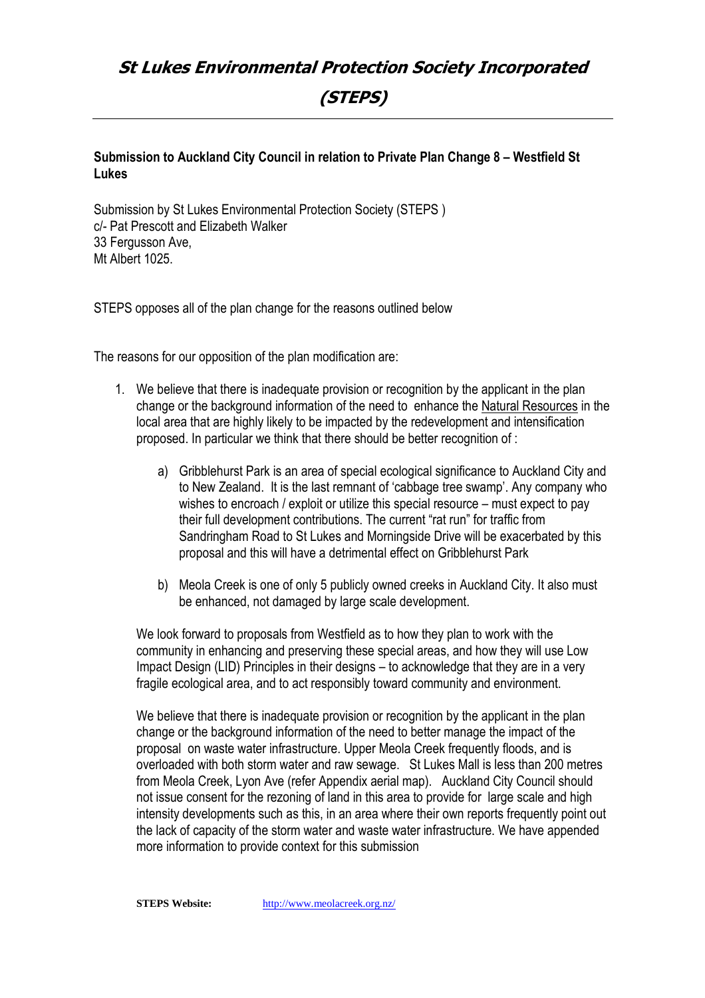# **St Lukes Environmental Protection Society Incorporated (STEPS)**

# **Submission to Auckland City Council in relation to Private Plan Change 8 – Westfield St Lukes**

Submission by St Lukes Environmental Protection Society (STEPS ) c/- Pat Prescott and Elizabeth Walker 33 Fergusson Ave, Mt Albert 1025.

STEPS opposes all of the plan change for the reasons outlined below

The reasons for our opposition of the plan modification are:

- 1. We believe that there is inadequate provision or recognition by the applicant in the plan change or the background information of the need to enhance the Natural Resources in the local area that are highly likely to be impacted by the redevelopment and intensification proposed. In particular we think that there should be better recognition of :
	- a) Gribblehurst Park is an area of special ecological significance to Auckland City and to New Zealand. It is the last remnant of 'cabbage tree swamp'. Any company who wishes to encroach / exploit or utilize this special resource – must expect to pay their full development contributions. The current "rat run" for traffic from Sandringham Road to St Lukes and Morningside Drive will be exacerbated by this proposal and this will have a detrimental effect on Gribblehurst Park
	- b) Meola Creek is one of only 5 publicly owned creeks in Auckland City. It also must be enhanced, not damaged by large scale development.

We look forward to proposals from Westfield as to how they plan to work with the community in enhancing and preserving these special areas, and how they will use Low Impact Design (LID) Principles in their designs – to acknowledge that they are in a very fragile ecological area, and to act responsibly toward community and environment.

We believe that there is inadequate provision or recognition by the applicant in the plan change or the background information of the need to better manage the impact of the proposal on waste water infrastructure. Upper Meola Creek frequently floods, and is overloaded with both storm water and raw sewage. St Lukes Mall is less than 200 metres from Meola Creek, Lyon Ave (refer Appendix aerial map). Auckland City Council should not issue consent for the rezoning of land in this area to provide for large scale and high intensity developments such as this, in an area where their own reports frequently point out the lack of capacity of the storm water and waste water infrastructure. We have appended more information to provide context for this submission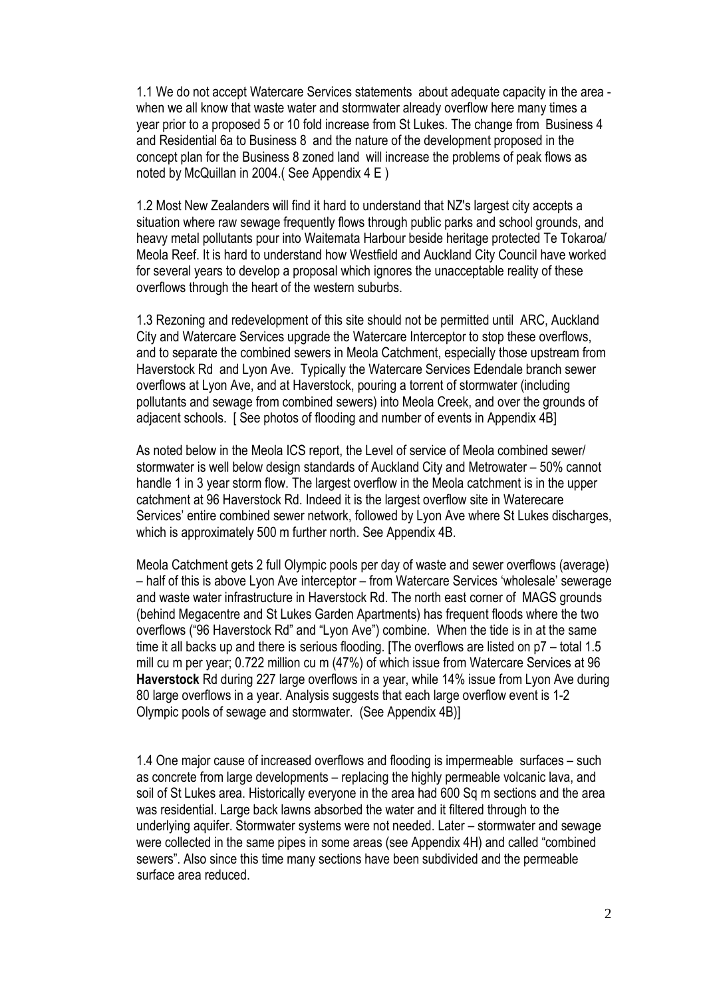1.1 We do not accept Watercare Services statements about adequate capacity in the area when we all know that waste water and stormwater already overflow here many times a year prior to a proposed 5 or 10 fold increase from St Lukes. The change from Business 4 and Residential 6a to Business 8 and the nature of the development proposed in the concept plan for the Business 8 zoned land will increase the problems of peak flows as noted by McQuillan in 2004.( See Appendix 4 E )

1.2 Most New Zealanders will find it hard to understand that NZ's largest city accepts a situation where raw sewage frequently flows through public parks and school grounds, and heavy metal pollutants pour into Waitemata Harbour beside heritage protected Te Tokaroa/ Meola Reef. It is hard to understand how Westfield and Auckland City Council have worked for several years to develop a proposal which ignores the unacceptable reality of these overflows through the heart of the western suburbs.

1.3 Rezoning and redevelopment of this site should not be permitted until ARC, Auckland City and Watercare Services upgrade the Watercare Interceptor to stop these overflows, and to separate the combined sewers in Meola Catchment, especially those upstream from Haverstock Rd and Lyon Ave. Typically the Watercare Services Edendale branch sewer overflows at Lyon Ave, and at Haverstock, pouring a torrent of stormwater (including pollutants and sewage from combined sewers) into Meola Creek, and over the grounds of adjacent schools. [ See photos of flooding and number of events in Appendix 4B]

As noted below in the Meola ICS report, the Level of service of Meola combined sewer/ stormwater is well below design standards of Auckland City and Metrowater – 50% cannot handle 1 in 3 year storm flow. The largest overflow in the Meola catchment is in the upper catchment at 96 Haverstock Rd. Indeed it is the largest overflow site in Waterecare Services' entire combined sewer network, followed by Lyon Ave where St Lukes discharges, which is approximately 500 m further north. See Appendix 4B.

Meola Catchment gets 2 full Olympic pools per day of waste and sewer overflows (average) – half of this is above Lyon Ave interceptor – from Watercare Services 'wholesale' sewerage and waste water infrastructure in Haverstock Rd. The north east corner of MAGS grounds (behind Megacentre and St Lukes Garden Apartments) has frequent floods where the two overflows ("96 Haverstock Rd" and "Lyon Ave") combine. When the tide is in at the same time it all backs up and there is serious flooding. [The overflows are listed on p7 – total 1.5 mill cu m per year; 0.722 million cu m (47%) of which issue from Watercare Services at 96 **Haverstock** Rd during 227 large overflows in a year, while 14% issue from Lyon Ave during 80 large overflows in a year. Analysis suggests that each large overflow event is 1-2 Olympic pools of sewage and stormwater. (See Appendix 4B)]

1.4 One major cause of increased overflows and flooding is impermeable surfaces – such as concrete from large developments – replacing the highly permeable volcanic lava, and soil of St Lukes area. Historically everyone in the area had 600 Sq m sections and the area was residential. Large back lawns absorbed the water and it filtered through to the underlying aquifer. Stormwater systems were not needed. Later – stormwater and sewage were collected in the same pipes in some areas (see Appendix 4H) and called "combined sewers". Also since this time many sections have been subdivided and the permeable surface area reduced.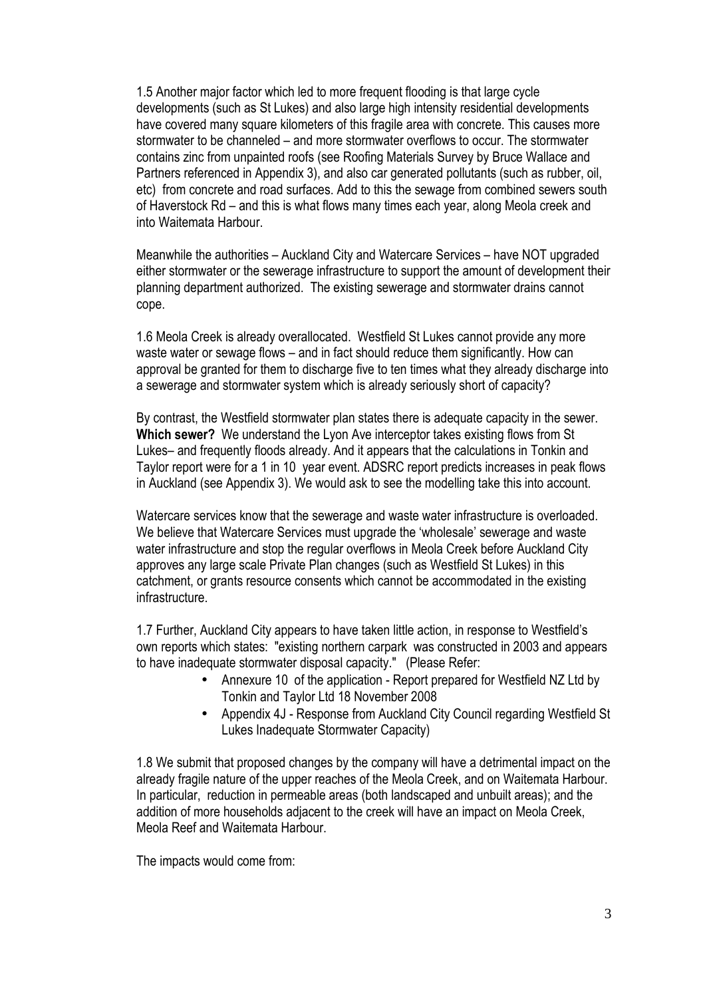1.5 Another major factor which led to more frequent flooding is that large cycle developments (such as St Lukes) and also large high intensity residential developments have covered many square kilometers of this fragile area with concrete. This causes more stormwater to be channeled – and more stormwater overflows to occur. The stormwater contains zinc from unpainted roofs (see Roofing Materials Survey by Bruce Wallace and Partners referenced in Appendix 3), and also car generated pollutants (such as rubber, oil, etc) from concrete and road surfaces. Add to this the sewage from combined sewers south of Haverstock Rd – and this is what flows many times each year, along Meola creek and into Waitemata Harbour.

Meanwhile the authorities – Auckland City and Watercare Services – have NOT upgraded either stormwater or the sewerage infrastructure to support the amount of development their planning department authorized. The existing sewerage and stormwater drains cannot cope.

1.6 Meola Creek is already overallocated. Westfield St Lukes cannot provide any more waste water or sewage flows – and in fact should reduce them significantly. How can approval be granted for them to discharge five to ten times what they already discharge into a sewerage and stormwater system which is already seriously short of capacity?

By contrast, the Westfield stormwater plan states there is adequate capacity in the sewer. **Which sewer?** We understand the Lyon Ave interceptor takes existing flows from St Lukes– and frequently floods already. And it appears that the calculations in Tonkin and Taylor report were for a 1 in 10 year event. ADSRC report predicts increases in peak flows in Auckland (see Appendix 3). We would ask to see the modelling take this into account.

Watercare services know that the sewerage and waste water infrastructure is overloaded. We believe that Watercare Services must upgrade the 'wholesale' sewerage and waste water infrastructure and stop the regular overflows in Meola Creek before Auckland City approves any large scale Private Plan changes (such as Westfield St Lukes) in this catchment, or grants resource consents which cannot be accommodated in the existing infrastructure.

1.7 Further, Auckland City appears to have taken little action, in response to Westfield's own reports which states: "existing northern carpark was constructed in 2003 and appears to have inadequate stormwater disposal capacity." (Please Refer:

- Annexure 10 of the application Report prepared for Westfield NZ Ltd by Tonkin and Taylor Ltd 18 November 2008
- Appendix 4J Response from Auckland City Council regarding Westfield St Lukes Inadequate Stormwater Capacity)

1.8 We submit that proposed changes by the company will have a detrimental impact on the already fragile nature of the upper reaches of the Meola Creek, and on Waitemata Harbour. In particular, reduction in permeable areas (both landscaped and unbuilt areas); and the addition of more households adjacent to the creek will have an impact on Meola Creek, Meola Reef and Waitemata Harbour.

The impacts would come from: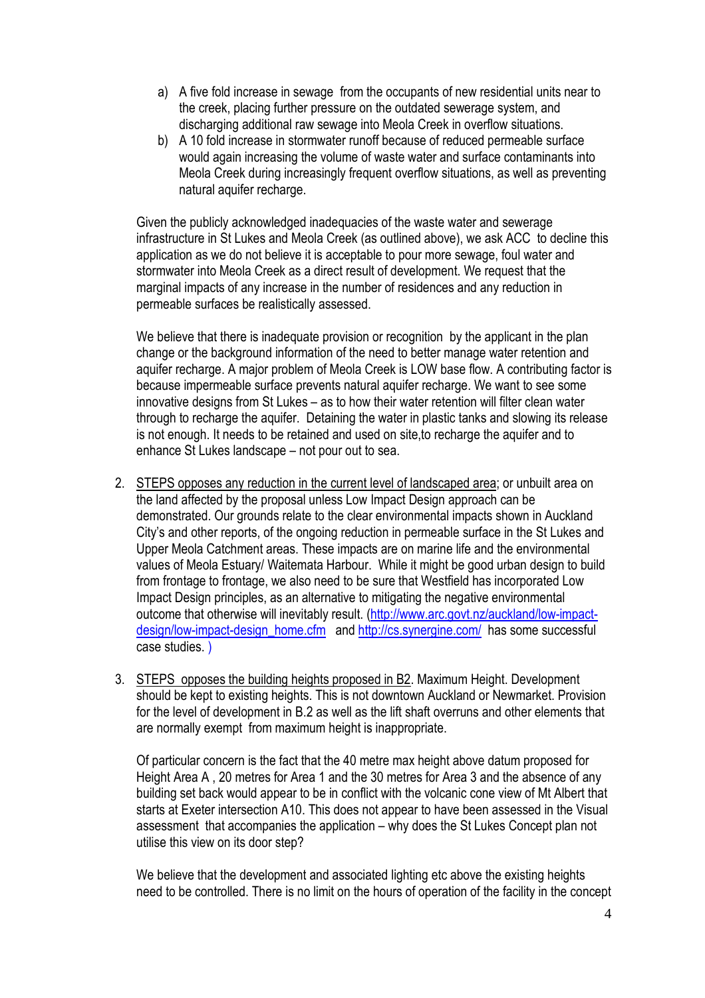- a) A five fold increase in sewage from the occupants of new residential units near to the creek, placing further pressure on the outdated sewerage system, and discharging additional raw sewage into Meola Creek in overflow situations.
- b) A 10 fold increase in stormwater runoff because of reduced permeable surface would again increasing the volume of waste water and surface contaminants into Meola Creek during increasingly frequent overflow situations, as well as preventing natural aquifer recharge.

Given the publicly acknowledged inadequacies of the waste water and sewerage infrastructure in St Lukes and Meola Creek (as outlined above), we ask ACC to decline this application as we do not believe it is acceptable to pour more sewage, foul water and stormwater into Meola Creek as a direct result of development. We request that the marginal impacts of any increase in the number of residences and any reduction in permeable surfaces be realistically assessed.

We believe that there is inadequate provision or recognition by the applicant in the plan change or the background information of the need to better manage water retention and aquifer recharge. A major problem of Meola Creek is LOW base flow. A contributing factor is because impermeable surface prevents natural aquifer recharge. We want to see some innovative designs from St Lukes – as to how their water retention will filter clean water through to recharge the aquifer. Detaining the water in plastic tanks and slowing its release is not enough. It needs to be retained and used on site,to recharge the aquifer and to enhance St Lukes landscape – not pour out to sea.

- 2. STEPS opposes any reduction in the current level of landscaped area; or unbuilt area on the land affected by the proposal unless Low Impact Design approach can be demonstrated. Our grounds relate to the clear environmental impacts shown in Auckland City's and other reports, of the ongoing reduction in permeable surface in the St Lukes and Upper Meola Catchment areas. These impacts are on marine life and the environmental values of Meola Estuary/ Waitemata Harbour. While it might be good urban design to build from frontage to frontage, we also need to be sure that Westfield has incorporated Low Impact Design principles, as an alternative to mitigating the negative environmental outcome that otherwise will inevitably result. (http://www.arc.govt.nz/auckland/low-impactdesign/low-impact-design\_home.cfm and http://cs.synergine.com/ has some successful case studies. )
- 3. STEPS opposes the building heights proposed in B2. Maximum Height. Development should be kept to existing heights. This is not downtown Auckland or Newmarket. Provision for the level of development in B.2 as well as the lift shaft overruns and other elements that are normally exempt from maximum height is inappropriate.

Of particular concern is the fact that the 40 metre max height above datum proposed for Height Area A , 20 metres for Area 1 and the 30 metres for Area 3 and the absence of any building set back would appear to be in conflict with the volcanic cone view of Mt Albert that starts at Exeter intersection A10. This does not appear to have been assessed in the Visual assessment that accompanies the application – why does the St Lukes Concept plan not utilise this view on its door step?

We believe that the development and associated lighting etc above the existing heights need to be controlled. There is no limit on the hours of operation of the facility in the concept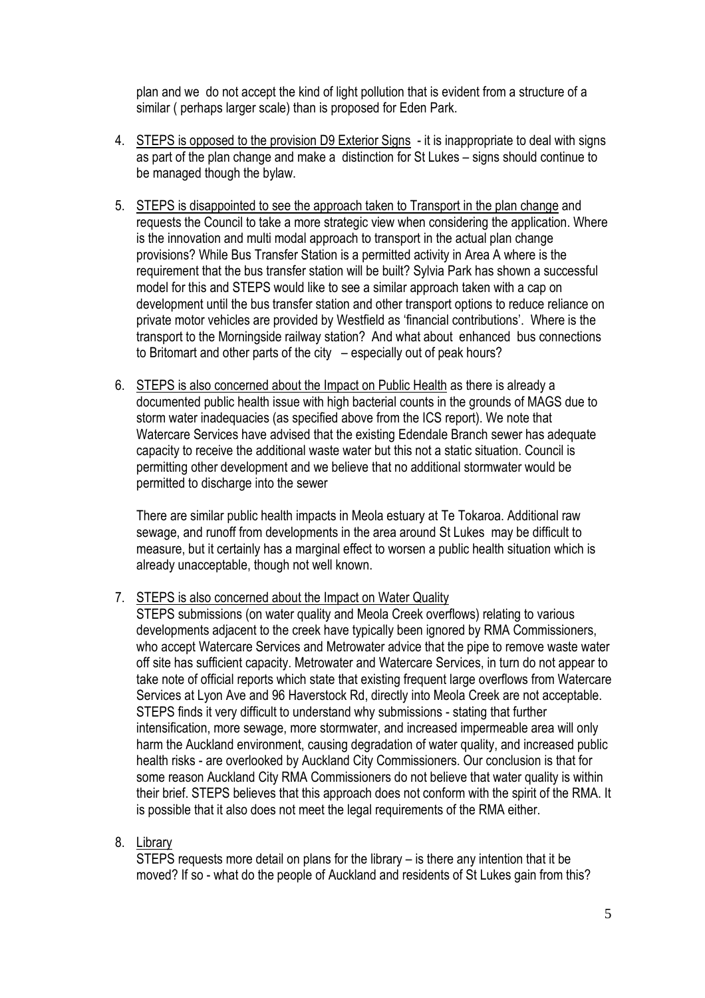plan and we do not accept the kind of light pollution that is evident from a structure of a similar ( perhaps larger scale) than is proposed for Eden Park.

- 4. STEPS is opposed to the provision D9 Exterior Signs it is inappropriate to deal with signs as part of the plan change and make a distinction for St Lukes – signs should continue to be managed though the bylaw.
- 5. STEPS is disappointed to see the approach taken to Transport in the plan change and requests the Council to take a more strategic view when considering the application. Where is the innovation and multi modal approach to transport in the actual plan change provisions? While Bus Transfer Station is a permitted activity in Area A where is the requirement that the bus transfer station will be built? Sylvia Park has shown a successful model for this and STEPS would like to see a similar approach taken with a cap on development until the bus transfer station and other transport options to reduce reliance on private motor vehicles are provided by Westfield as 'financial contributions'. Where is the transport to the Morningside railway station? And what about enhanced bus connections to Britomart and other parts of the city – especially out of peak hours?
- 6. STEPS is also concerned about the Impact on Public Health as there is already a documented public health issue with high bacterial counts in the grounds of MAGS due to storm water inadequacies (as specified above from the ICS report). We note that Watercare Services have advised that the existing Edendale Branch sewer has adequate capacity to receive the additional waste water but this not a static situation. Council is permitting other development and we believe that no additional stormwater would be permitted to discharge into the sewer

There are similar public health impacts in Meola estuary at Te Tokaroa. Additional raw sewage, and runoff from developments in the area around St Lukes may be difficult to measure, but it certainly has a marginal effect to worsen a public health situation which is already unacceptable, though not well known.

7. STEPS is also concerned about the Impact on Water Quality

STEPS submissions (on water quality and Meola Creek overflows) relating to various developments adjacent to the creek have typically been ignored by RMA Commissioners, who accept Watercare Services and Metrowater advice that the pipe to remove waste water off site has sufficient capacity. Metrowater and Watercare Services, in turn do not appear to take note of official reports which state that existing frequent large overflows from Watercare Services at Lyon Ave and 96 Haverstock Rd, directly into Meola Creek are not acceptable. STEPS finds it very difficult to understand why submissions - stating that further intensification, more sewage, more stormwater, and increased impermeable area will only harm the Auckland environment, causing degradation of water quality, and increased public health risks - are overlooked by Auckland City Commissioners. Our conclusion is that for some reason Auckland City RMA Commissioners do not believe that water quality is within their brief. STEPS believes that this approach does not conform with the spirit of the RMA. It is possible that it also does not meet the legal requirements of the RMA either.

# 8. Library

STEPS requests more detail on plans for the library – is there any intention that it be moved? If so - what do the people of Auckland and residents of St Lukes gain from this?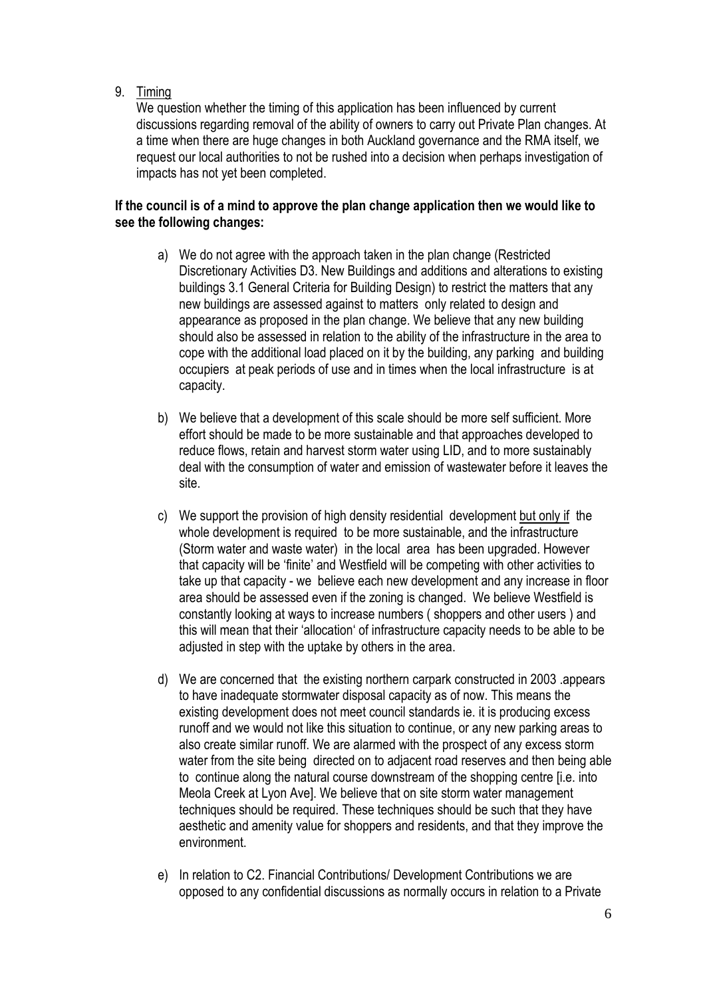9. Timing

We question whether the timing of this application has been influenced by current discussions regarding removal of the ability of owners to carry out Private Plan changes. At a time when there are huge changes in both Auckland governance and the RMA itself, we request our local authorities to not be rushed into a decision when perhaps investigation of impacts has not yet been completed.

# **If the council is of a mind to approve the plan change application then we would like to see the following changes:**

- a) We do not agree with the approach taken in the plan change (Restricted Discretionary Activities D3. New Buildings and additions and alterations to existing buildings 3.1 General Criteria for Building Design) to restrict the matters that any new buildings are assessed against to matters only related to design and appearance as proposed in the plan change. We believe that any new building should also be assessed in relation to the ability of the infrastructure in the area to cope with the additional load placed on it by the building, any parking and building occupiers at peak periods of use and in times when the local infrastructure is at capacity.
- b) We believe that a development of this scale should be more self sufficient. More effort should be made to be more sustainable and that approaches developed to reduce flows, retain and harvest storm water using LID, and to more sustainably deal with the consumption of water and emission of wastewater before it leaves the site.
- c) We support the provision of high density residential development but only if the whole development is required to be more sustainable, and the infrastructure (Storm water and waste water) in the local area has been upgraded. However that capacity will be 'finite' and Westfield will be competing with other activities to take up that capacity - we believe each new development and any increase in floor area should be assessed even if the zoning is changed. We believe Westfield is constantly looking at ways to increase numbers ( shoppers and other users ) and this will mean that their 'allocation' of infrastructure capacity needs to be able to be adjusted in step with the uptake by others in the area.
- d) We are concerned that the existing northern carpark constructed in 2003 .appears to have inadequate stormwater disposal capacity as of now. This means the existing development does not meet council standards ie. it is producing excess runoff and we would not like this situation to continue, or any new parking areas to also create similar runoff. We are alarmed with the prospect of any excess storm water from the site being directed on to adjacent road reserves and then being able to continue along the natural course downstream of the shopping centre [i.e. into Meola Creek at Lyon Ave]. We believe that on site storm water management techniques should be required. These techniques should be such that they have aesthetic and amenity value for shoppers and residents, and that they improve the environment.
- e) In relation to C2. Financial Contributions/ Development Contributions we are opposed to any confidential discussions as normally occurs in relation to a Private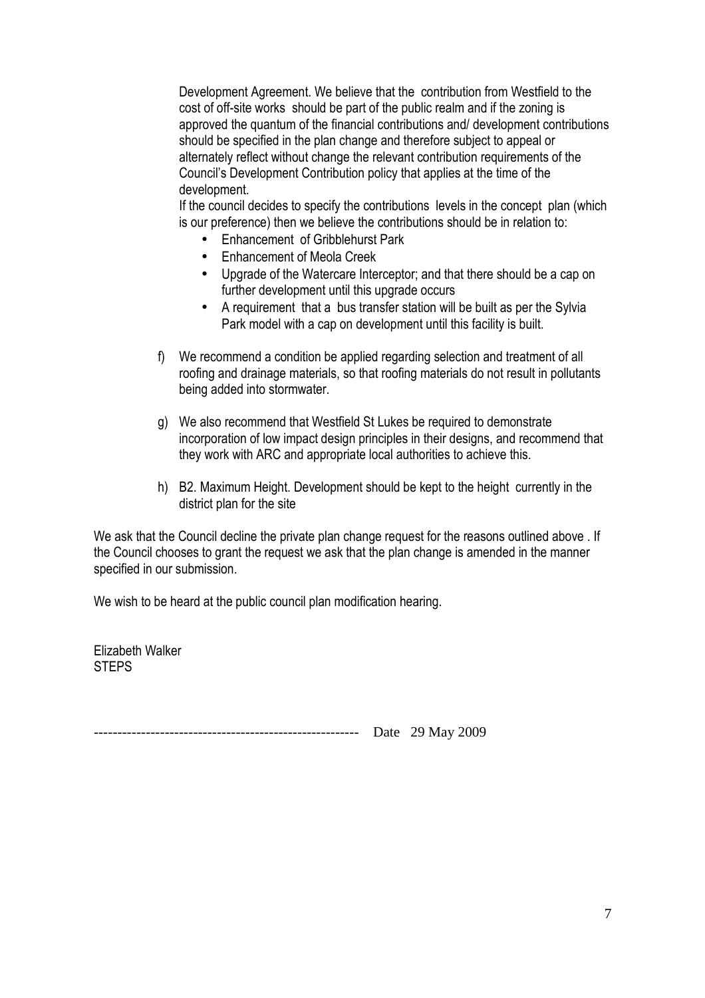Development Agreement. We believe that the contribution from Westfield to the cost of off-site works should be part of the public realm and if the zoning is approved the quantum of the financial contributions and/ development contributions should be specified in the plan change and therefore subject to appeal or alternately reflect without change the relevant contribution requirements of the Council's Development Contribution policy that applies at the time of the development.

If the council decides to specify the contributions levels in the concept plan (which is our preference) then we believe the contributions should be in relation to:

- Enhancement of Gribblehurst Park
- Enhancement of Meola Creek
- Upgrade of the Watercare Interceptor; and that there should be a cap on further development until this upgrade occurs
- A requirement that a bus transfer station will be built as per the Sylvia Park model with a cap on development until this facility is built.
- f) We recommend a condition be applied regarding selection and treatment of all roofing and drainage materials, so that roofing materials do not result in pollutants being added into stormwater.
- g) We also recommend that Westfield St Lukes be required to demonstrate incorporation of low impact design principles in their designs, and recommend that they work with ARC and appropriate local authorities to achieve this.
- h) B2. Maximum Height. Development should be kept to the height currently in the district plan for the site

We ask that the Council decline the private plan change request for the reasons outlined above . If the Council chooses to grant the request we ask that the plan change is amended in the manner specified in our submission.

We wish to be heard at the public council plan modification hearing.

Elizabeth Walker **STEPS** 

-------------------------------------------------------- Date 29 May 2009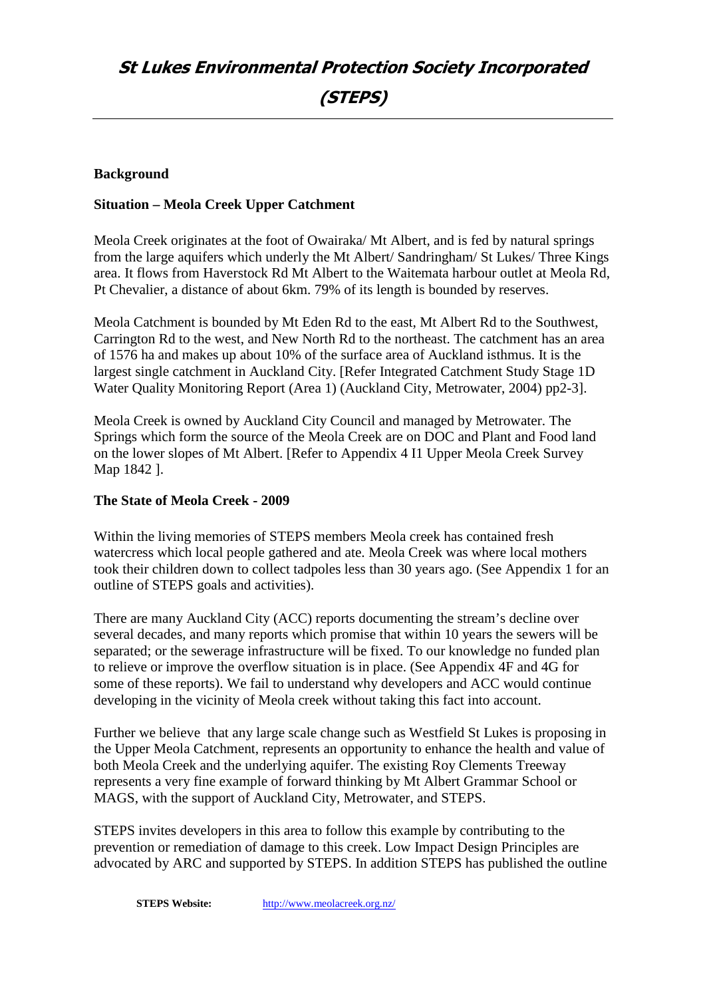# **Background**

### **Situation – Meola Creek Upper Catchment**

Meola Creek originates at the foot of Owairaka/ Mt Albert, and is fed by natural springs from the large aquifers which underly the Mt Albert/ Sandringham/ St Lukes/ Three Kings area. It flows from Haverstock Rd Mt Albert to the Waitemata harbour outlet at Meola Rd, Pt Chevalier, a distance of about 6km. 79% of its length is bounded by reserves.

Meola Catchment is bounded by Mt Eden Rd to the east, Mt Albert Rd to the Southwest, Carrington Rd to the west, and New North Rd to the northeast. The catchment has an area of 1576 ha and makes up about 10% of the surface area of Auckland isthmus. It is the largest single catchment in Auckland City. [Refer Integrated Catchment Study Stage 1D Water Quality Monitoring Report (Area 1) (Auckland City, Metrowater, 2004) pp2-3].

Meola Creek is owned by Auckland City Council and managed by Metrowater. The Springs which form the source of the Meola Creek are on DOC and Plant and Food land on the lower slopes of Mt Albert. [Refer to Appendix 4 I1 Upper Meola Creek Survey Map 1842 ].

#### **The State of Meola Creek - 2009**

Within the living memories of STEPS members Meola creek has contained fresh watercress which local people gathered and ate. Meola Creek was where local mothers took their children down to collect tadpoles less than 30 years ago. (See Appendix 1 for an outline of STEPS goals and activities).

There are many Auckland City (ACC) reports documenting the stream's decline over several decades, and many reports which promise that within 10 years the sewers will be separated; or the sewerage infrastructure will be fixed. To our knowledge no funded plan to relieve or improve the overflow situation is in place. (See Appendix 4F and 4G for some of these reports). We fail to understand why developers and ACC would continue developing in the vicinity of Meola creek without taking this fact into account.

Further we believe that any large scale change such as Westfield St Lukes is proposing in the Upper Meola Catchment, represents an opportunity to enhance the health and value of both Meola Creek and the underlying aquifer. The existing Roy Clements Treeway represents a very fine example of forward thinking by Mt Albert Grammar School or MAGS, with the support of Auckland City, Metrowater, and STEPS.

STEPS invites developers in this area to follow this example by contributing to the prevention or remediation of damage to this creek. Low Impact Design Principles are advocated by ARC and supported by STEPS. In addition STEPS has published the outline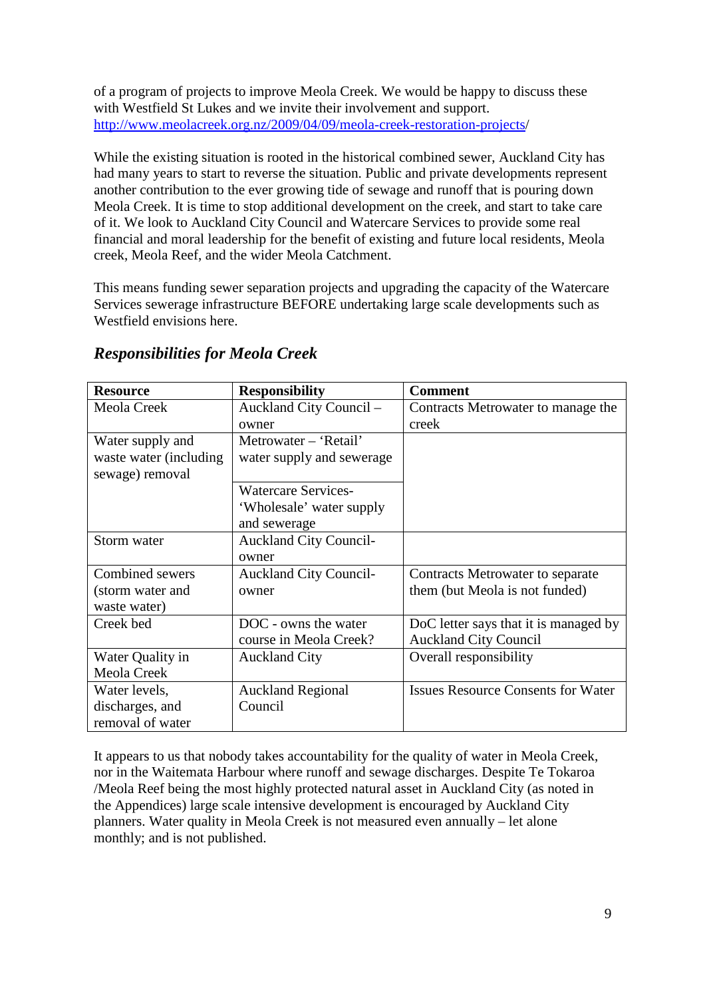of a program of projects to improve Meola Creek. We would be happy to discuss these with Westfield St Lukes and we invite their involvement and support. http://www.meolacreek.org.nz/2009/04/09/meola-creek-restoration-projects/

While the existing situation is rooted in the historical combined sewer, Auckland City has had many years to start to reverse the situation. Public and private developments represent another contribution to the ever growing tide of sewage and runoff that is pouring down Meola Creek. It is time to stop additional development on the creek, and start to take care of it. We look to Auckland City Council and Watercare Services to provide some real financial and moral leadership for the benefit of existing and future local residents, Meola creek, Meola Reef, and the wider Meola Catchment.

This means funding sewer separation projects and upgrading the capacity of the Watercare Services sewerage infrastructure BEFORE undertaking large scale developments such as Westfield envisions here.

| <b>Resource</b>        | <b>Responsibility</b>         | <b>Comment</b>                            |
|------------------------|-------------------------------|-------------------------------------------|
| Meola Creek            | Auckland City Council -       | Contracts Metrowater to manage the        |
|                        | owner                         | creek                                     |
| Water supply and       | Metrowater – 'Retail'         |                                           |
| waste water (including | water supply and sewerage     |                                           |
| sewage) removal        |                               |                                           |
|                        | <b>Watercare Services-</b>    |                                           |
|                        | 'Wholesale' water supply      |                                           |
|                        | and sewerage                  |                                           |
| Storm water            | <b>Auckland City Council-</b> |                                           |
|                        | owner                         |                                           |
| Combined sewers        | <b>Auckland City Council-</b> | Contracts Metrowater to separate          |
| (storm water and       | owner                         | them (but Meola is not funded)            |
| waste water)           |                               |                                           |
| Creek bed              | DOC - owns the water          | DoC letter says that it is managed by     |
|                        | course in Meola Creek?        | <b>Auckland City Council</b>              |
| Water Quality in       | <b>Auckland City</b>          | Overall responsibility                    |
| Meola Creek            |                               |                                           |
| Water levels,          | <b>Auckland Regional</b>      | <b>Issues Resource Consents for Water</b> |
| discharges, and        | Council                       |                                           |
| removal of water       |                               |                                           |

# *Responsibilities for Meola Creek*

It appears to us that nobody takes accountability for the quality of water in Meola Creek, nor in the Waitemata Harbour where runoff and sewage discharges. Despite Te Tokaroa /Meola Reef being the most highly protected natural asset in Auckland City (as noted in the Appendices) large scale intensive development is encouraged by Auckland City planners. Water quality in Meola Creek is not measured even annually – let alone monthly; and is not published.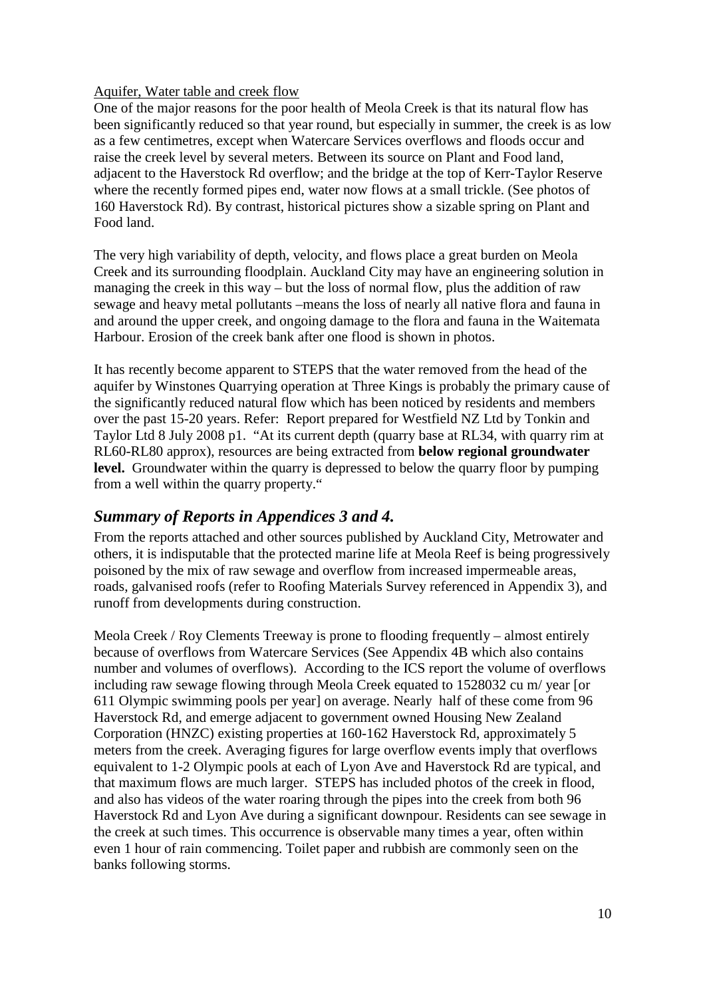#### Aquifer, Water table and creek flow

One of the major reasons for the poor health of Meola Creek is that its natural flow has been significantly reduced so that year round, but especially in summer, the creek is as low as a few centimetres, except when Watercare Services overflows and floods occur and raise the creek level by several meters. Between its source on Plant and Food land, adjacent to the Haverstock Rd overflow; and the bridge at the top of Kerr-Taylor Reserve where the recently formed pipes end, water now flows at a small trickle. (See photos of 160 Haverstock Rd). By contrast, historical pictures show a sizable spring on Plant and Food land.

The very high variability of depth, velocity, and flows place a great burden on Meola Creek and its surrounding floodplain. Auckland City may have an engineering solution in managing the creek in this way – but the loss of normal flow, plus the addition of raw sewage and heavy metal pollutants –means the loss of nearly all native flora and fauna in and around the upper creek, and ongoing damage to the flora and fauna in the Waitemata Harbour. Erosion of the creek bank after one flood is shown in photos.

It has recently become apparent to STEPS that the water removed from the head of the aquifer by Winstones Quarrying operation at Three Kings is probably the primary cause of the significantly reduced natural flow which has been noticed by residents and members over the past 15-20 years. Refer: Report prepared for Westfield NZ Ltd by Tonkin and Taylor Ltd 8 July 2008 p1. "At its current depth (quarry base at RL34, with quarry rim at RL60-RL80 approx), resources are being extracted from **below regional groundwater**  level. Groundwater within the quarry is depressed to below the quarry floor by pumping from a well within the quarry property."

# *Summary of Reports in Appendices 3 and 4.*

From the reports attached and other sources published by Auckland City, Metrowater and others, it is indisputable that the protected marine life at Meola Reef is being progressively poisoned by the mix of raw sewage and overflow from increased impermeable areas, roads, galvanised roofs (refer to Roofing Materials Survey referenced in Appendix 3), and runoff from developments during construction.

Meola Creek / Roy Clements Treeway is prone to flooding frequently – almost entirely because of overflows from Watercare Services (See Appendix 4B which also contains number and volumes of overflows). According to the ICS report the volume of overflows including raw sewage flowing through Meola Creek equated to 1528032 cu m/ year [or 611 Olympic swimming pools per year] on average. Nearly half of these come from 96 Haverstock Rd, and emerge adjacent to government owned Housing New Zealand Corporation (HNZC) existing properties at 160-162 Haverstock Rd, approximately 5 meters from the creek. Averaging figures for large overflow events imply that overflows equivalent to 1-2 Olympic pools at each of Lyon Ave and Haverstock Rd are typical, and that maximum flows are much larger. STEPS has included photos of the creek in flood, and also has videos of the water roaring through the pipes into the creek from both 96 Haverstock Rd and Lyon Ave during a significant downpour. Residents can see sewage in the creek at such times. This occurrence is observable many times a year, often within even 1 hour of rain commencing. Toilet paper and rubbish are commonly seen on the banks following storms.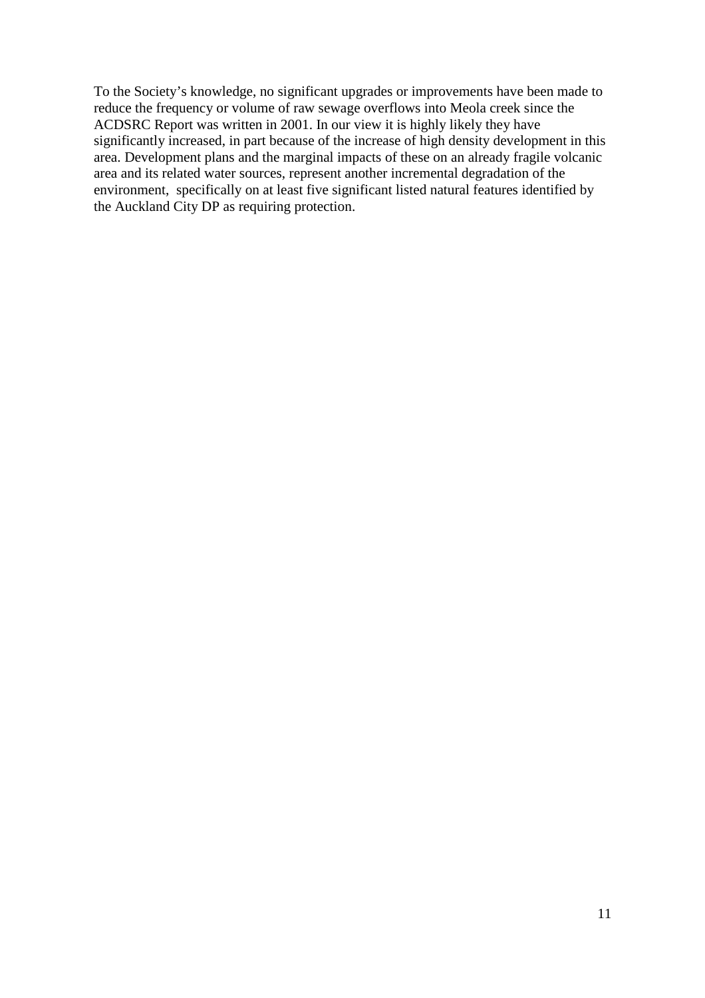To the Society's knowledge, no significant upgrades or improvements have been made to reduce the frequency or volume of raw sewage overflows into Meola creek since the ACDSRC Report was written in 2001. In our view it is highly likely they have significantly increased, in part because of the increase of high density development in this area. Development plans and the marginal impacts of these on an already fragile volcanic area and its related water sources, represent another incremental degradation of the environment, specifically on at least five significant listed natural features identified by the Auckland City DP as requiring protection.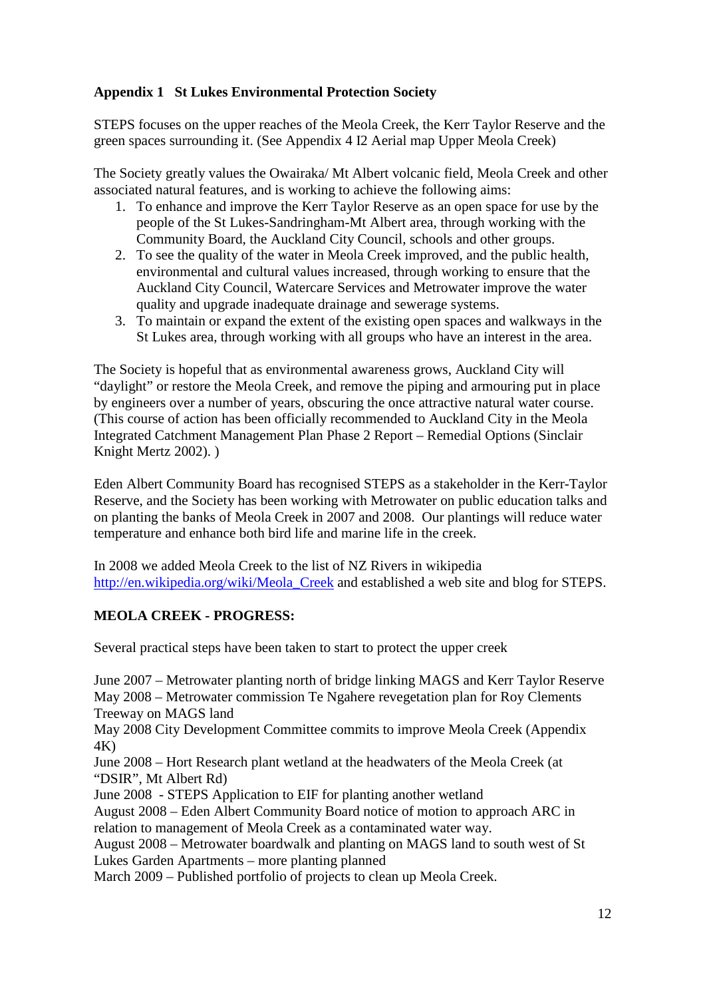# **Appendix 1 St Lukes Environmental Protection Society**

STEPS focuses on the upper reaches of the Meola Creek, the Kerr Taylor Reserve and the green spaces surrounding it. (See Appendix 4 I2 Aerial map Upper Meola Creek)

The Society greatly values the Owairaka/ Mt Albert volcanic field, Meola Creek and other associated natural features, and is working to achieve the following aims:

- 1. To enhance and improve the Kerr Taylor Reserve as an open space for use by the people of the St Lukes-Sandringham-Mt Albert area, through working with the Community Board, the Auckland City Council, schools and other groups.
- 2. To see the quality of the water in Meola Creek improved, and the public health, environmental and cultural values increased, through working to ensure that the Auckland City Council, Watercare Services and Metrowater improve the water quality and upgrade inadequate drainage and sewerage systems.
- 3. To maintain or expand the extent of the existing open spaces and walkways in the St Lukes area, through working with all groups who have an interest in the area.

The Society is hopeful that as environmental awareness grows, Auckland City will "daylight" or restore the Meola Creek, and remove the piping and armouring put in place by engineers over a number of years, obscuring the once attractive natural water course. (This course of action has been officially recommended to Auckland City in the Meola Integrated Catchment Management Plan Phase 2 Report – Remedial Options (Sinclair Knight Mertz 2002). )

Eden Albert Community Board has recognised STEPS as a stakeholder in the Kerr-Taylor Reserve, and the Society has been working with Metrowater on public education talks and on planting the banks of Meola Creek in 2007 and 2008. Our plantings will reduce water temperature and enhance both bird life and marine life in the creek.

In 2008 we added Meola Creek to the list of NZ Rivers in wikipedia http://en.wikipedia.org/wiki/Meola\_Creek and established a web site and blog for STEPS.

# **MEOLA CREEK - PROGRESS:**

Several practical steps have been taken to start to protect the upper creek

June 2007 – Metrowater planting north of bridge linking MAGS and Kerr Taylor Reserve May 2008 – Metrowater commission Te Ngahere revegetation plan for Roy Clements Treeway on MAGS land

May 2008 City Development Committee commits to improve Meola Creek (Appendix 4K)

June 2008 – Hort Research plant wetland at the headwaters of the Meola Creek (at "DSIR", Mt Albert Rd)

June 2008 - STEPS Application to EIF for planting another wetland

August 2008 – Eden Albert Community Board notice of motion to approach ARC in relation to management of Meola Creek as a contaminated water way.

August 2008 – Metrowater boardwalk and planting on MAGS land to south west of St Lukes Garden Apartments – more planting planned

March 2009 – Published portfolio of projects to clean up Meola Creek.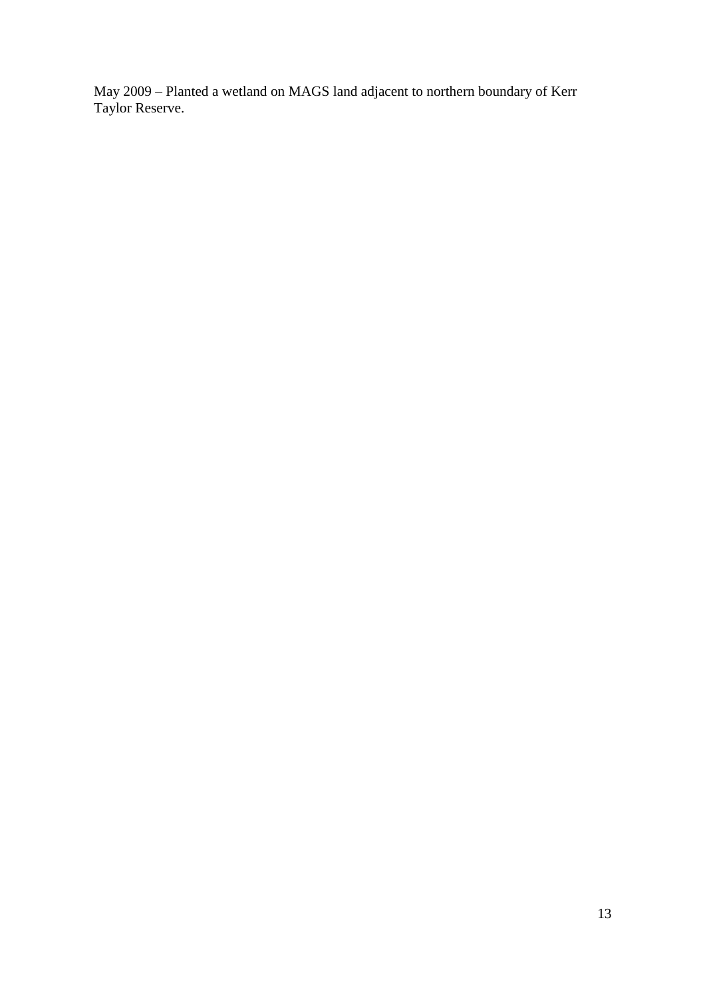May 2009 – Planted a wetland on MAGS land adjacent to northern boundary of Kerr Taylor Reserve.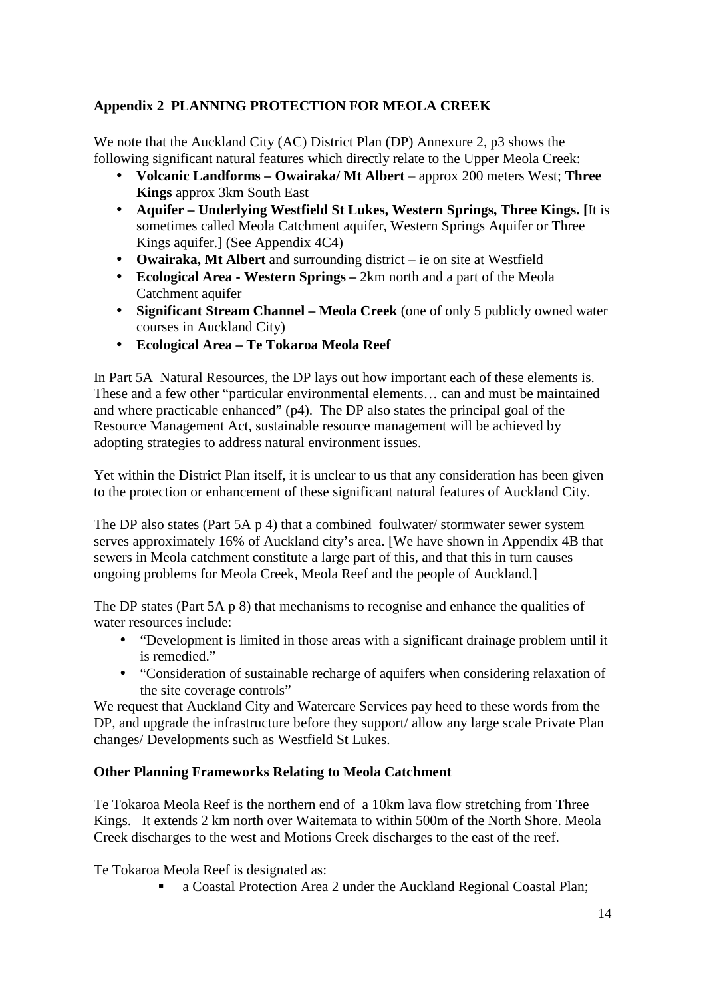# **Appendix 2 PLANNING PROTECTION FOR MEOLA CREEK**

We note that the Auckland City (AC) District Plan (DP) Annexure 2, p3 shows the following significant natural features which directly relate to the Upper Meola Creek:

- **Volcanic Landforms Owairaka/ Mt Albert** approx 200 meters West; **Three Kings** approx 3km South East
- **Aquifer Underlying Westfield St Lukes, Western Springs, Three Kings. [**It is sometimes called Meola Catchment aquifer, Western Springs Aquifer or Three Kings aquifer.] (See Appendix 4C4)
- **Owairaka, Mt Albert** and surrounding district ie on site at Westfield
- **Ecological Area Western Springs** 2km north and a part of the Meola Catchment aquifer
- **Significant Stream Channel Meola Creek** (one of only 5 publicly owned water courses in Auckland City)
- **Ecological Area Te Tokaroa Meola Reef**

In Part 5A Natural Resources, the DP lays out how important each of these elements is. These and a few other "particular environmental elements… can and must be maintained and where practicable enhanced" (p4). The DP also states the principal goal of the Resource Management Act, sustainable resource management will be achieved by adopting strategies to address natural environment issues.

Yet within the District Plan itself, it is unclear to us that any consideration has been given to the protection or enhancement of these significant natural features of Auckland City.

The DP also states (Part 5A p 4) that a combined foulwater/ stormwater sewer system serves approximately 16% of Auckland city's area. [We have shown in Appendix 4B that sewers in Meola catchment constitute a large part of this, and that this in turn causes ongoing problems for Meola Creek, Meola Reef and the people of Auckland.]

The DP states (Part 5A p 8) that mechanisms to recognise and enhance the qualities of water resources include:

- "Development is limited in those areas with a significant drainage problem until it is remedied."
- "Consideration of sustainable recharge of aquifers when considering relaxation of the site coverage controls"

We request that Auckland City and Watercare Services pay heed to these words from the DP, and upgrade the infrastructure before they support/ allow any large scale Private Plan changes/ Developments such as Westfield St Lukes.

# **Other Planning Frameworks Relating to Meola Catchment**

Te Tokaroa Meola Reef is the northern end of a 10km lava flow stretching from Three Kings. It extends 2 km north over Waitemata to within 500m of the North Shore. Meola Creek discharges to the west and Motions Creek discharges to the east of the reef.

Te Tokaroa Meola Reef is designated as:

a Coastal Protection Area 2 under the Auckland Regional Coastal Plan;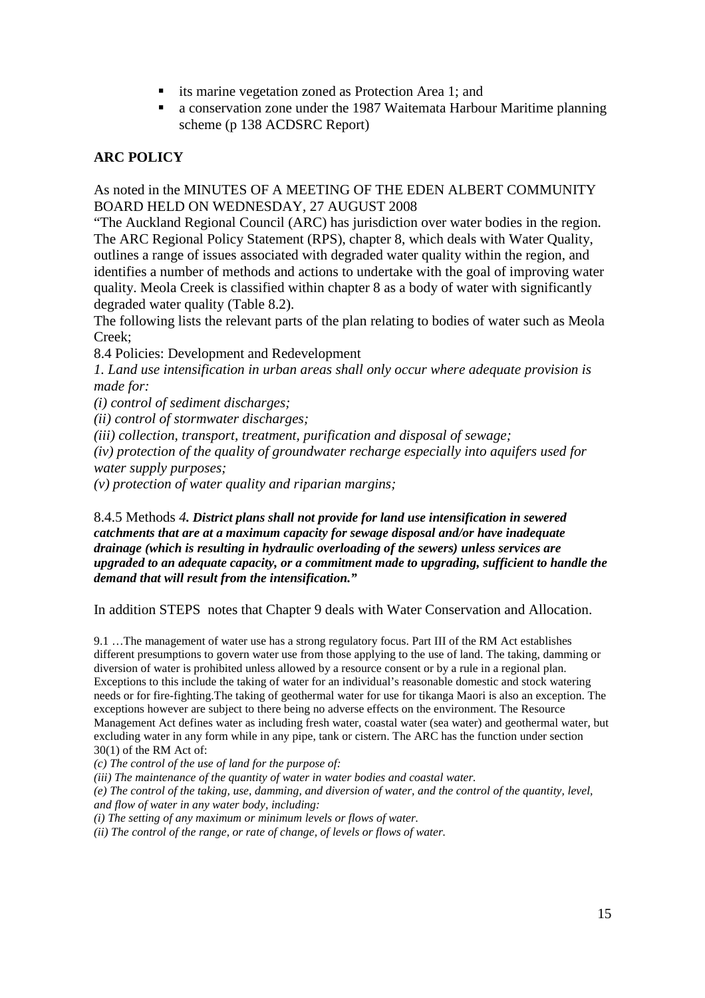- its marine vegetation zoned as Protection Area 1; and
- a conservation zone under the 1987 Waitemata Harbour Maritime planning scheme (p 138 ACDSRC Report)

### **ARC POLICY**

As noted in the MINUTES OF A MEETING OF THE EDEN ALBERT COMMUNITY BOARD HELD ON WEDNESDAY, 27 AUGUST 2008

"The Auckland Regional Council (ARC) has jurisdiction over water bodies in the region. The ARC Regional Policy Statement (RPS), chapter 8, which deals with Water Quality, outlines a range of issues associated with degraded water quality within the region, and identifies a number of methods and actions to undertake with the goal of improving water quality. Meola Creek is classified within chapter 8 as a body of water with significantly degraded water quality (Table 8.2).

The following lists the relevant parts of the plan relating to bodies of water such as Meola Creek;

8.4 Policies: Development and Redevelopment

*1. Land use intensification in urban areas shall only occur where adequate provision is made for:* 

*(i) control of sediment discharges;* 

*(ii) control of stormwater discharges;* 

*(iii) collection, transport, treatment, purification and disposal of sewage;* 

*(iv) protection of the quality of groundwater recharge especially into aquifers used for water supply purposes;* 

*(v) protection of water quality and riparian margins;* 

8.4.5 Methods *4. District plans shall not provide for land use intensification in sewered catchments that are at a maximum capacity for sewage disposal and/or have inadequate drainage (which is resulting in hydraulic overloading of the sewers) unless services are upgraded to an adequate capacity, or a commitment made to upgrading, sufficient to handle the demand that will result from the intensification."*

In addition STEPS notes that Chapter 9 deals with Water Conservation and Allocation.

9.1 …The management of water use has a strong regulatory focus. Part III of the RM Act establishes different presumptions to govern water use from those applying to the use of land. The taking, damming or diversion of water is prohibited unless allowed by a resource consent or by a rule in a regional plan. Exceptions to this include the taking of water for an individual's reasonable domestic and stock watering needs or for fire-fighting.The taking of geothermal water for use for tikanga Maori is also an exception. The exceptions however are subject to there being no adverse effects on the environment. The Resource Management Act defines water as including fresh water, coastal water (sea water) and geothermal water, but excluding water in any form while in any pipe, tank or cistern. The ARC has the function under section 30(1) of the RM Act of:

*(c) The control of the use of land for the purpose of:* 

*(iii) The maintenance of the quantity of water in water bodies and coastal water.* 

*(e) The control of the taking, use, damming, and diversion of water, and the control of the quantity, level, and flow of water in any water body, including:* 

*(i) The setting of any maximum or minimum levels or flows of water.* 

*(ii) The control of the range, or rate of change, of levels or flows of water.*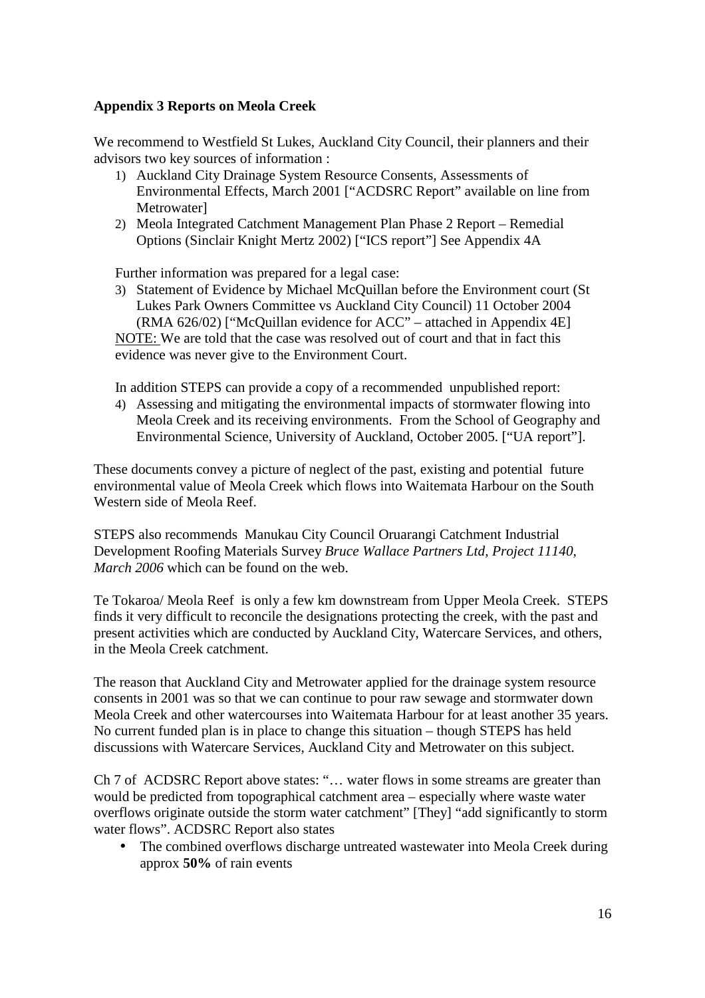# **Appendix 3 Reports on Meola Creek**

We recommend to Westfield St Lukes, Auckland City Council, their planners and their advisors two key sources of information :

- 1) Auckland City Drainage System Resource Consents, Assessments of Environmental Effects, March 2001 ["ACDSRC Report" available on line from Metrowater]
- 2) Meola Integrated Catchment Management Plan Phase 2 Report Remedial Options (Sinclair Knight Mertz 2002) ["ICS report"] See Appendix 4A

Further information was prepared for a legal case:

3) Statement of Evidence by Michael McQuillan before the Environment court (St Lukes Park Owners Committee vs Auckland City Council) 11 October 2004 (RMA 626/02) ["McQuillan evidence for ACC" – attached in Appendix 4E] NOTE: We are told that the case was resolved out of court and that in fact this evidence was never give to the Environment Court.

In addition STEPS can provide a copy of a recommended unpublished report:

4) Assessing and mitigating the environmental impacts of stormwater flowing into Meola Creek and its receiving environments. From the School of Geography and Environmental Science, University of Auckland, October 2005. ["UA report"].

These documents convey a picture of neglect of the past, existing and potential future environmental value of Meola Creek which flows into Waitemata Harbour on the South Western side of Meola Reef.

STEPS also recommends Manukau City Council Oruarangi Catchment Industrial Development Roofing Materials Survey *Bruce Wallace Partners Ltd, Project 11140, March 2006* which can be found on the web.

Te Tokaroa/ Meola Reef is only a few km downstream from Upper Meola Creek. STEPS finds it very difficult to reconcile the designations protecting the creek, with the past and present activities which are conducted by Auckland City, Watercare Services, and others, in the Meola Creek catchment.

The reason that Auckland City and Metrowater applied for the drainage system resource consents in 2001 was so that we can continue to pour raw sewage and stormwater down Meola Creek and other watercourses into Waitemata Harbour for at least another 35 years. No current funded plan is in place to change this situation – though STEPS has held discussions with Watercare Services, Auckland City and Metrowater on this subject.

Ch 7 of ACDSRC Report above states: "… water flows in some streams are greater than would be predicted from topographical catchment area – especially where waste water overflows originate outside the storm water catchment" [They] "add significantly to storm water flows". ACDSRC Report also states

• The combined overflows discharge untreated wastewater into Meola Creek during approx **50%** of rain events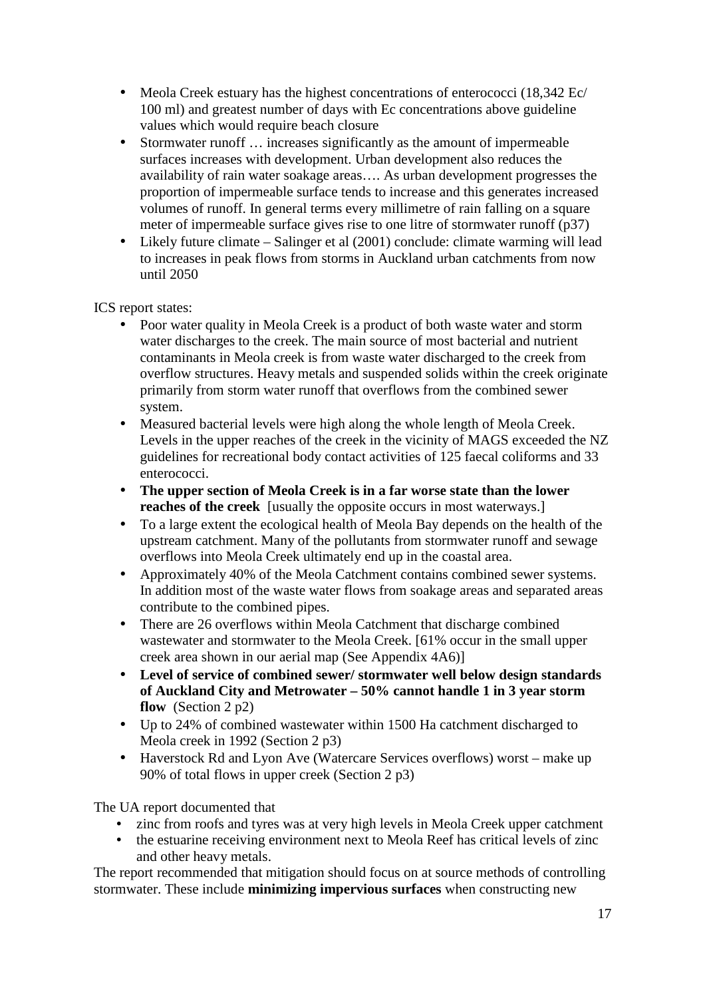- Meola Creek estuary has the highest concentrations of enterococci (18,342 Ec/ 100 ml) and greatest number of days with Ec concentrations above guideline values which would require beach closure
- Stormwater runoff ... increases significantly as the amount of impermeable surfaces increases with development. Urban development also reduces the availability of rain water soakage areas…. As urban development progresses the proportion of impermeable surface tends to increase and this generates increased volumes of runoff. In general terms every millimetre of rain falling on a square meter of impermeable surface gives rise to one litre of stormwater runoff (p37)
- Likely future climate Salinger et al (2001) conclude: climate warming will lead to increases in peak flows from storms in Auckland urban catchments from now until 2050

ICS report states:

- Poor water quality in Meola Creek is a product of both waste water and storm water discharges to the creek. The main source of most bacterial and nutrient contaminants in Meola creek is from waste water discharged to the creek from overflow structures. Heavy metals and suspended solids within the creek originate primarily from storm water runoff that overflows from the combined sewer system.
- Measured bacterial levels were high along the whole length of Meola Creek. Levels in the upper reaches of the creek in the vicinity of MAGS exceeded the NZ guidelines for recreational body contact activities of 125 faecal coliforms and 33 enterococci.
- **The upper section of Meola Creek is in a far worse state than the lower reaches of the creek** [usually the opposite occurs in most waterways.]
- To a large extent the ecological health of Meola Bay depends on the health of the upstream catchment. Many of the pollutants from stormwater runoff and sewage overflows into Meola Creek ultimately end up in the coastal area.
- Approximately 40% of the Meola Catchment contains combined sewer systems. In addition most of the waste water flows from soakage areas and separated areas contribute to the combined pipes.
- There are 26 overflows within Meola Catchment that discharge combined wastewater and stormwater to the Meola Creek. [61% occur in the small upper creek area shown in our aerial map (See Appendix 4A6)]
- **Level of service of combined sewer/ stormwater well below design standards of Auckland City and Metrowater – 50% cannot handle 1 in 3 year storm flow** (Section 2 p2)
- Up to 24% of combined wastewater within 1500 Ha catchment discharged to Meola creek in 1992 (Section 2 p3)
- Haverstock Rd and Lyon Ave (Watercare Services overflows) worst make up 90% of total flows in upper creek (Section 2 p3)

The UA report documented that

- zinc from roofs and tyres was at very high levels in Meola Creek upper catchment
- the estuarine receiving environment next to Meola Reef has critical levels of zinc and other heavy metals.

The report recommended that mitigation should focus on at source methods of controlling stormwater. These include **minimizing impervious surfaces** when constructing new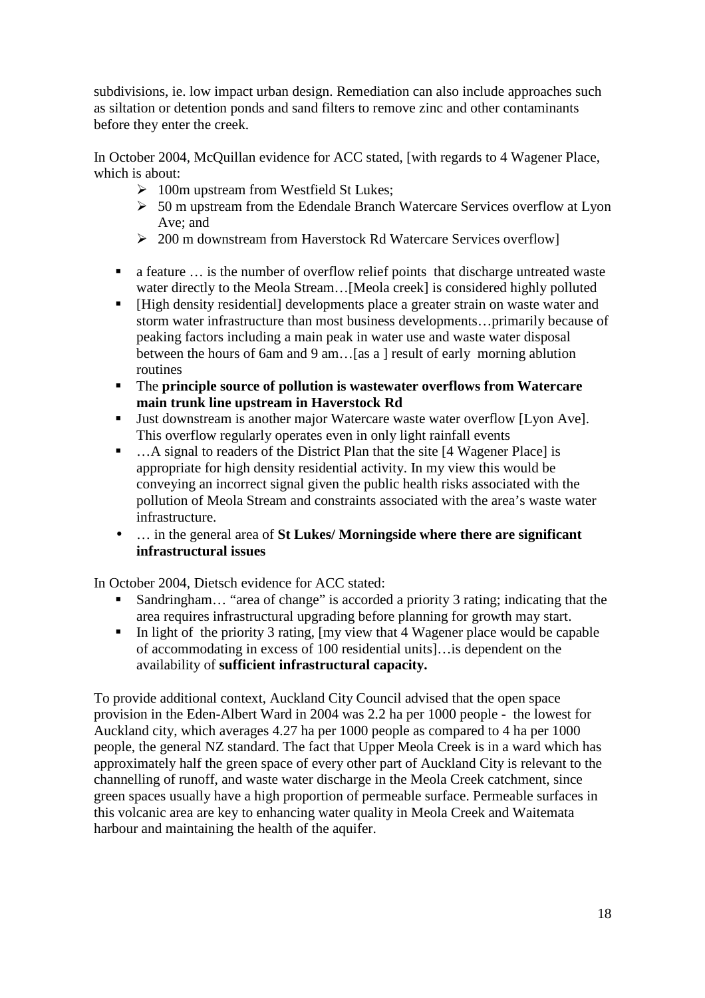subdivisions, ie. low impact urban design. Remediation can also include approaches such as siltation or detention ponds and sand filters to remove zinc and other contaminants before they enter the creek.

In October 2004, McQuillan evidence for ACC stated, [with regards to 4 Wagener Place, which is about:

- > 100m upstream from Westfield St Lukes;
- > 50 m upstream from the Edendale Branch Watercare Services overflow at Lyon Ave; and
- > 200 m downstream from Haverstock Rd Watercare Services overflow]
- a feature … is the number of overflow relief points that discharge untreated waste water directly to the Meola Stream…[Meola creek] is considered highly polluted
- [High density residential] developments place a greater strain on waste water and storm water infrastructure than most business developments…primarily because of peaking factors including a main peak in water use and waste water disposal between the hours of 6am and 9 am…[as a ] result of early morning ablution routines
- The **principle source of pollution is wastewater overflows from Watercare main trunk line upstream in Haverstock Rd**
- Uust downstream is another major Watercare waste water overflow [Lyon Ave]. This overflow regularly operates even in only light rainfall events
- ...A signal to readers of the District Plan that the site [4 Wagener Place] is appropriate for high density residential activity. In my view this would be conveying an incorrect signal given the public health risks associated with the pollution of Meola Stream and constraints associated with the area's waste water infrastructure.
- … in the general area of **St Lukes/ Morningside where there are significant infrastructural issues**

In October 2004, Dietsch evidence for ACC stated:

- Sandringham… "area of change" is accorded a priority 3 rating; indicating that the area requires infrastructural upgrading before planning for growth may start.
- In light of the priority 3 rating,  $[my]$  view that 4 Wagener place would be capable of accommodating in excess of 100 residential units]…is dependent on the availability of **sufficient infrastructural capacity.**

To provide additional context, Auckland City Council advised that the open space provision in the Eden-Albert Ward in 2004 was 2.2 ha per 1000 people - the lowest for Auckland city, which averages 4.27 ha per 1000 people as compared to 4 ha per 1000 people, the general NZ standard. The fact that Upper Meola Creek is in a ward which has approximately half the green space of every other part of Auckland City is relevant to the channelling of runoff, and waste water discharge in the Meola Creek catchment, since green spaces usually have a high proportion of permeable surface. Permeable surfaces in this volcanic area are key to enhancing water quality in Meola Creek and Waitemata harbour and maintaining the health of the aquifer.